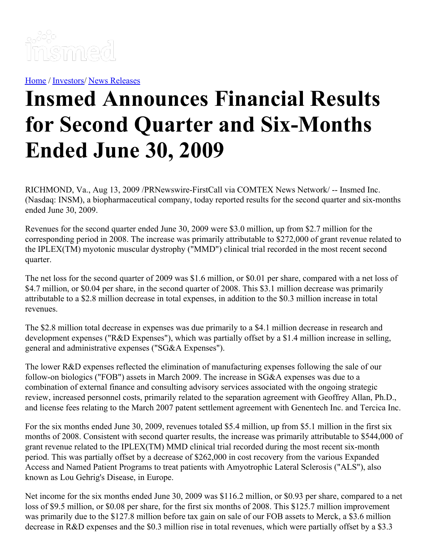

[Home](https://insmed.com/) / [Investors](https://investor.insmed.com/index)/ News [Releases](https://investor.insmed.com/releases)

## **Insmed Announces Financial Results for Second Quarter and Six-Months Ended June 30, 2009**

RICHMOND, Va., Aug 13, 2009 /PRNewswire-FirstCall via COMTEX News Network/ -- Insmed Inc. (Nasdaq: INSM), a biopharmaceutical company, today reported results for the second quarter and six-months ended June 30, 2009.

Revenues for the second quarter ended June 30, 2009 were \$3.0 million, up from \$2.7 million for the corresponding period in 2008. The increase was primarily attributable to \$272,000 of grant revenue related to the IPLEX(TM) myotonic muscular dystrophy ("MMD") clinical trial recorded in the most recent second quarter.

The net loss for the second quarter of 2009 was \$1.6 million, or \$0.01 per share, compared with a net loss of \$4.7 million, or \$0.04 per share, in the second quarter of 2008. This \$3.1 million decrease was primarily attributable to a \$2.8 million decrease in total expenses, in addition to the \$0.3 million increase in total revenues.

The \$2.8 million total decrease in expenses was due primarily to a \$4.1 million decrease in research and development expenses ("R&D Expenses"), which was partially offset by a \$1.4 million increase in selling, general and administrative expenses ("SG&A Expenses").

The lower R&D expenses reflected the elimination of manufacturing expenses following the sale of our follow-on biologics ("FOB") assets in March 2009. The increase in SG&A expenses was due to a combination of external finance and consulting advisory services associated with the ongoing strategic review, increased personnel costs, primarily related to the separation agreement with Geoffrey Allan, Ph.D., and license fees relating to the March 2007 patent settlement agreement with Genentech Inc. and Tercica Inc.

For the six months ended June 30, 2009, revenues totaled \$5.4 million, up from \$5.1 million in the first six months of 2008. Consistent with second quarter results, the increase was primarily attributable to \$544,000 of grant revenue related to the IPLEX(TM) MMD clinical trial recorded during the most recent six-month period. This was partially offset by a decrease of \$262,000 in cost recovery from the various Expanded Access and Named Patient Programs to treat patients with Amyotrophic Lateral Sclerosis ("ALS"), also known as Lou Gehrig's Disease, in Europe.

Net income for the six months ended June 30, 2009 was \$116.2 million, or \$0.93 per share, compared to a net loss of \$9.5 million, or \$0.08 per share, for the first six months of 2008. This \$125.7 million improvement was primarily due to the \$127.8 million before tax gain on sale of our FOB assets to Merck, a \$3.6 million decrease in R&D expenses and the \$0.3 million rise in total revenues, which were partially offset by a \$3.3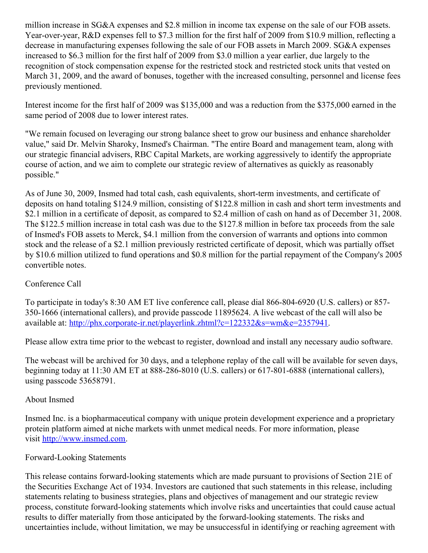million increase in SG&A expenses and \$2.8 million in income tax expense on the sale of our FOB assets. Year-over-year, R&D expenses fell to \$7.3 million for the first half of 2009 from \$10.9 million, reflecting a decrease in manufacturing expenses following the sale of our FOB assets in March 2009. SG&A expenses increased to \$6.3 million for the first half of 2009 from \$3.0 million a year earlier, due largely to the recognition of stock compensation expense for the restricted stock and restricted stock units that vested on March 31, 2009, and the award of bonuses, together with the increased consulting, personnel and license fees previously mentioned.

Interest income for the first half of 2009 was \$135,000 and was a reduction from the \$375,000 earned in the same period of 2008 due to lower interest rates.

"We remain focused on leveraging our strong balance sheet to grow our business and enhance shareholder value," said Dr. Melvin Sharoky, Insmed's Chairman. "The entire Board and management team, along with our strategic financial advisers, RBC Capital Markets, are working aggressively to identify the appropriate course of action, and we aim to complete our strategic review of alternatives as quickly as reasonably possible."

As of June 30, 2009, Insmed had total cash, cash equivalents, short-term investments, and certificate of deposits on hand totaling \$124.9 million, consisting of \$122.8 million in cash and short term investments and \$2.1 million in a certificate of deposit, as compared to \$2.4 million of cash on hand as of December 31, 2008. The \$122.5 million increase in total cash was due to the \$127.8 million in before tax proceeds from the sale of Insmed's FOB assets to Merck, \$4.1 million from the conversion of warrants and options into common stock and the release of a \$2.1 million previously restricted certificate of deposit, which was partially offset by \$10.6 million utilized to fund operations and \$0.8 million for the partial repayment of the Company's 2005 convertible notes.

## Conference Call

To participate in today's 8:30 AM ET live conference call, please dial 866-804-6920 (U.S. callers) or 857- 350-1666 (international callers), and provide passcode 11895624. A live webcast of the call will also be available at: [http://phx.corporate-ir.net/playerlink.zhtml?c=122332&s=wm&e=2357941](http://us.lrd.yahoo.com/_ylt=AibYVLDcKkP5JfFP0A3_oKexcq9_;_ylu=X3oDMTE2cWV2dDlzBHBvcwMxBHNlYwNuZXdzQXJ0Qm9keQRzbGsDaHR0cHBoeGNvcnBv/SIG=12f834v24/**http%3A/phx.corporate-ir.net/playerlink.zhtml%3Fc=122332%26s=wm%26e=2357941).

Please allow extra time prior to the webcast to register, download and install any necessary audio software.

The webcast will be archived for 30 days, and a telephone replay of the call will be available for seven days, beginning today at 11:30 AM ET at 888-286-8010 (U.S. callers) or 617-801-6888 (international callers), using passcode 53658791.

## About Insmed

Insmed Inc. is a biopharmaceutical company with unique protein development experience and a proprietary protein platform aimed at niche markets with unmet medical needs. For more information, please visit [http://www.insmed.com](http://www.insmed.com/).

## Forward-Looking Statements

This release contains forward-looking statements which are made pursuant to provisions of Section 21E of the Securities Exchange Act of 1934. Investors are cautioned that such statements in this release, including statements relating to business strategies, plans and objectives of management and our strategic review process, constitute forward-looking statements which involve risks and uncertainties that could cause actual results to differ materially from those anticipated by the forward-looking statements. The risks and uncertainties include, without limitation, we may be unsuccessful in identifying or reaching agreement with